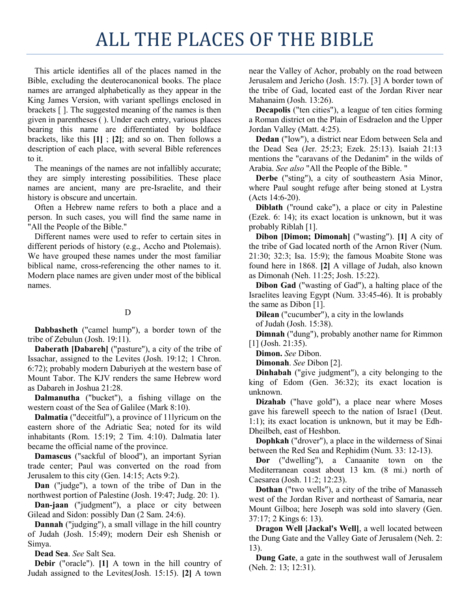# ALL THE PLACES OF THE BIBLE

This article identifies all of the places named in the Bible, excluding the deuterocanonical books. The place names are arranged alphabetically as they appear in the King James Version, with variant spellings enclosed in brackets [ ]. The suggested meaning of the names is then given in parentheses ( ). Under each entry, various places bearing this name are differentiated by boldface brackets, like this **[1]** ; **[2]**; and so on. Then follows a description of each place, with several Bible references to it.

The meanings of the names are not infallibly accurate; they are simply interesting possibilities. These place names are ancient, many are pre-Israelite, and their history is obscure and uncertain.

Often a Hebrew name refers to both a place and a person. In such cases, you will find the same name in "All the People of the Bible."

Different names were used to refer to certain sites in different periods of history (e.g., Accho and Ptolemais). We have grouped these names under the most familiar biblical name, cross-referencing the other names to it. Modern place names are given under most of the biblical names.

### D

**Dabbasheth** ("camel hump"), a border town of the tribe of Zebulun (Josh. 19:11).

**Daberath [Dabareh]** ("pasture"), a city of the tribe of Issachar, assigned to the Levites (Josh. 19:12; 1 Chron. 6:72); probably modern Daburiyeh at the western base of Mount Tabor. The KJV renders the same Hebrew word as Dabareh in Joshua 21:28.

**Dalmanutha** ("bucket"), a fishing village on the western coast of the Sea of Galilee (Mark 8:10).

**Dalmatia** ("deceitful"), a province of 11lyricum on the eastern shore of the Adriatic Sea; noted for its wild inhabitants (Rom. 15:19; 2 Tim. 4:10). Dalmatia later became the official name of the province.

**Damascus** ("sackful of blood"), an important Syrian trade center; Paul was converted on the road from Jerusalem to this city (Gen. 14:15; Acts 9:2).

**Dan** ("judge"), a town of the tribe of Dan in the northwest portion of Palestine (Josh. 19:47; Judg. 20: 1).

**Dan-jaan** ("judgment"), a place or city between Gilead and Sidon: possibly Dan (2 Sam. 24:6).

**Dannah** ("judging"), a small village in the hill country of Judah (Josh. 15:49); modern Deir esh Shenish or Simya.

**Dead Sea**. *See* Salt Sea.

**Debir** ("oracle"). **[1]** A town in the hill country of Judah assigned to the Levites(Josh. 15:15). **[2]** A town

near the Valley of Achor, probably on the road between Jerusalem and Jericho (Josh. 15:7). [3] A border town of the tribe of Gad, located east of the Jordan River near Mahanaim (Josh. 13:26).

**Decapolis** ("ten cities"), a league of ten cities forming a Roman district on the Plain of Esdraelon and the Upper Jordan Valley (Matt. 4:25).

**Dedan** ("low"), a district near Edom between Sela and the Dead Sea (Jer. 25:23; Ezek. 25:13). Isaiah 21:13 mentions the "caravans of the Dedanim" in the wilds of Arabia. *See also* "All the People of the Bible. "

**Derbe** ("sting"), a city of southeastern Asia Minor, where Paul sought refuge after being stoned at Lystra (Acts 14:6-20).

**Diblath** ("round cake"), a place or city in Palestine (Ezek. 6: 14); its exact location is unknown, but it was probably Riblah [1].

**Dibon [Dimon; Dimonah]** ("wasting"). **[1]** A city of the tribe of Gad located north of the Arnon River (Num. 21:30; 32:3; Isa. 15:9); the famous Moabite Stone was found here in 1868. **[2]** A village of Judah, also known as Dimonah (Neh. 11:25; Josh. 15:22).

**Dibon Gad** ("wasting of Gad"), a halting place of the Israelites leaving Egypt (Num. 33:45-46). It is probably the same as Dibon [1].

**Dilean** ("cucumber"), a city in the lowlands

of Judah (Josh. 15:38).

**Dimnah** ("dung"), probably another name for Rimmon [1] (Josh. 21:35).

**Dimon.** *See* Dibon.

**Dimonah**. *See* Dibon [2].

**Dinhabah** ("give judgment"), a city belonging to the king of Edom (Gen. 36:32); its exact location is unknown.

**Dizahab** ("have gold"), a place near where Moses gave his farewell speech to the nation of Israe1 (Deut. 1:1); its exact location is unknown, but it may be Edh-Dheilbeh, east of Heshbon.

**Dophkah** ("drover"), a place in the wilderness of Sinai between the Red Sea and Rephidim (Num. 33: 12-13).

**Dor** ("dwelling"), a Canaanite town on the Mediterranean coast about 13 km. (8 mi.) north of Caesarea (Josh. 11:2; 12:23).

**Dothan** ("two wells"), a city of the tribe of Manasseh west of the Jordan River and northeast of Samaria, near Mount Gilboa; here Joseph was sold into slavery (Gen. 37:17; 2 Kings 6: 13).

**Dragon Well [Jackal's Well]**, a well located between the Dung Gate and the Valley Gate of Jerusalem (Neh. 2: 13).

**Dung Gate**, a gate in the southwest wall of Jerusalem (Neh. 2: 13; 12:31).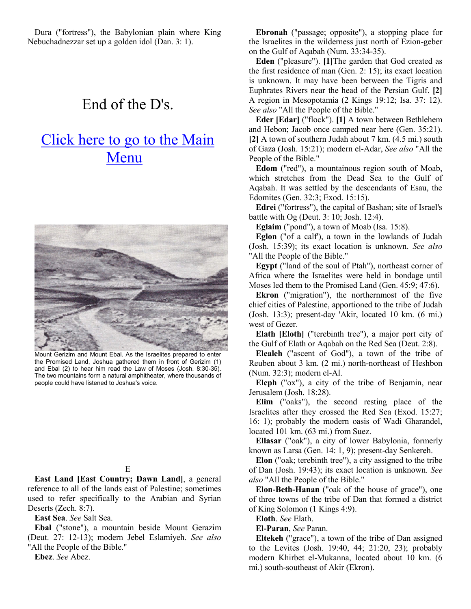Dura ("fortress"), the Babylonian plain where King Nebuchadnezzar set up a golden idol (Dan. 3: 1).

## End of the D's.

# Click here to go to the Main Menu



Mount Gerizim and Mount Ebal. As the Israelites prepared to enter the Promised Land, Joshua gathered them in front of Gerizim (1) and Ebal (2) to hear him read the Law of Moses (Josh. 8:30-35). The two mountains form a natural amphitheater, where thousands of people could have listened to Joshua's voice.

#### E

**East Land [East Country; Dawn Land]**, a general reference to all of the lands east of Palestine; sometimes used to refer specifically to the Arabian and Syrian Deserts (Zech. 8:7).

**East Sea**. *See* Salt Sea.

**Ebal** ("stone"), a mountain beside Mount Gerazim (Deut. 27: 12-13); modern Jebel Eslamiyeh. *See also* "All the People of the Bible."

**Ebez**. *See* Abez.

**Ebronah** ("passage; opposite"), a stopping place for the Israelites in the wilderness just north of Ezion-geber on the Gulf of Aqabah (Num. 33:34-35).

**Eden** ("pleasure"). **[1]**The garden that God created as the first residence of man (Gen. 2: 15); its exact location is unknown. It may have been between the Tigris and Euphrates Rivers near the head of the Persian Gulf. **[2]** A region in Mesopotamia (2 Kings 19:12; Isa. 37: 12). *See also* "All the People of the Bible."

**Eder [Edar]** ("flock"). **[1]** A town between Bethlehem and Hebon; Jacob once camped near here (Gen. 35:21). **[2]** A town of southern Judah about 7 km. (4.5 mi.) south of Gaza (Josh. 15:21); modern el-Adar, *See also* "All the People of the Bible."

**Edom** ("red"), a mountainous region south of Moab, which stretches from the Dead Sea to the Gulf of Aqabah. It was settled by the descendants of Esau, the Edomites (Gen. 32:3; Exod. 15:15).

**Edrei** ("fortress"), the capital of Bashan; site of Israel's battle with Og (Deut. 3: 10; Josh. 12:4).

**Eglaim** ("pond"), a town of Moab (Isa. 15:8).

**Eglon** ("of a calf'), a town in the lowlands of Judah (Josh. 15:39); its exact location is unknown. *See also* "All the People of the Bible."

**Egypt** ("land of the soul of Ptah"), northeast corner of Africa where the Israelites were held in bondage until Moses led them to the Promised Land (Gen. 45:9; 47:6).

**Ekron** ("migration"), the northernmost of the five chief cities of Palestine, apportioned to the tribe of Judah (Josh. 13:3); present-day 'Akir, located 10 km. (6 mi.) west of Gezer.

**Elath [Eloth]** ("terebinth tree"), a major port city of the Gulf of Elath or Aqabah on the Red Sea (Deut. 2:8).

**Elealeh** ("ascent of God"), a town of the tribe of Reuben about 3 km. (2 mi.) north-northeast of Heshbon (Num. 32:3); modern el-Al.

**Eleph** ("ox"), a city of the tribe of Benjamin, near Jerusalem (Josh. 18:28).

**Elim** ("oaks"), the second resting place of the Israelites after they crossed the Red Sea (Exod. 15:27; 16: 1); probably the modern oasis of Wadi Gharandel, located 101 km. (63 mi.) from Suez.

**Ellasar** ("oak"), a city of lower Babylonia, formerly known as Larsa (Gen. 14: 1, 9); present-day Senkereh.

**Elon** ("oak; terebinth tree"), a city assigned to the tribe of Dan (Josh. 19:43); its exact location is unknown. *See also* "All the People of the Bible."

**Elon-Beth-Hanan** ("oak of the house of grace"), one of three towns of the tribe of Dan that formed a district of King Solomon (1 Kings 4:9).

**Eloth**. *See* Elath.

**El-Paran**, *See* Paran.

**Eltekeh** ("grace"), a town of the tribe of Dan assigned to the Levites (Josh. 19:40, 44; 21:20, 23); probably modern Khirbet el-Mukanna, located about 10 km. (6 mi.) south-southeast of Akir (Ekron).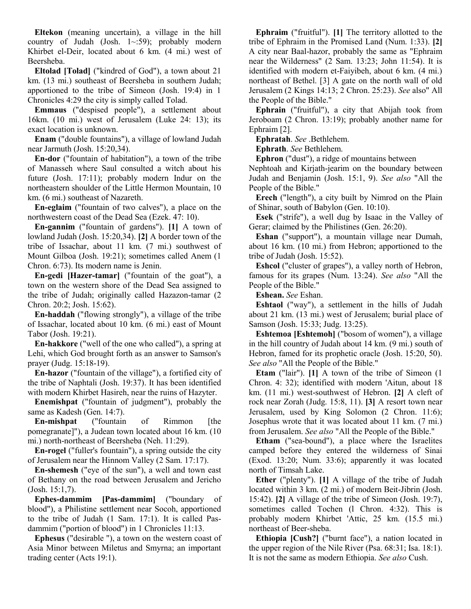**Eltekon** (meaning uncertain), a village in the hill country of Judah (Josh. 1~:59); probably modern Khirbet el-Deir, located about 6 km. (4 mi.) west of Beersheba.

**Eltolad [Tolad]** ("kindred of God"), a town about 21 km. (13 mi.) southeast of Beersheba in southern Judah; apportioned to the tribe of Simeon (Josh. 19:4) in 1 Chronicles 4:29 the city is simply called Tolad.

**Emmaus** ("despised people"), a settlement about 16km. (10 mi.) west of Jerusalem (Luke 24: 13); its exact location is unknown.

**Enam** ("double fountains"), a village of lowland Judah near Jarmuth (Josh. 15:20,34).

**En-dor** ("fountain of habitation"), a town of the tribe of Manasseh where Saul consulted a witch about his future (Josh. 17:11); probably modern Indur on the northeastern shoulder of the Little Hermon Mountain, 10 km. (6 mi.) southeast of Nazareth.

**En-eglaim** ("fountain of two calves"), a place on the northwestern coast of the Dead Sea (Ezek. 47: 10).

**En-gannim** ("fountain of gardens"). **[1]** A town of lowland Judah (Josh. 15:20,34). **[2]** A border town of the tribe of Issachar, about 11 km. (7 mi.) southwest of Mount Gilboa (Josh. 19:21); sometimes called Anem (1 Chron. 6:73). Its modern name is Jenin.

**En-gedi [Hazer-tamar]** ("fountain of the goat"), a town on the western shore of the Dead Sea assigned to the tribe of Judah; originally called Hazazon-tamar (2 Chron. 20:2; Josh. 15:62).

**En-haddah** ("flowing strongly"), a village of the tribe of Issachar, located about 10 km. (6 mi.) east of Mount Tabor (Josh. 19:21).

**En-hakkore** ("well of the one who called"), a spring at Lehi, which God brought forth as an answer to Samson's prayer (Judg. 15:18-19).

**En-hazor** ("fountain of the village"), a fortified city of the tribe of Naphtali (Josh. 19:37). It has been identified with modern Khirbet Hasireh, near the ruins of Hazyter.

**Enemishpat** ("fountain of judgment"), probably the same as Kadesh (Gen. 14:7).

**En-mishpat** ("fountain of Rimmon [the pomegranate]"), a Judean town located about 16 km. (10 mi.) north-northeast of Beersheba (Neh. 11:29).

**En-rogel** ("fuller's fountain"), a spring outside the city of Jerusalem near the Hinnom Valley (2 Sam. 17:17).

**En-shemesh** ("eye of the sun"), a well and town east of Bethany on the road between Jerusalem and Jericho (Josh. 15:1,7).

**Ephes-dammim [Pas-dammim]** ("boundary of blood"), a Philistine settlement near Socoh, apportioned to the tribe of Judah (1 Sam. 17:1). It is called Pasdammim ("portion of blood") in 1 Chronicles 11:13.

**Ephesus** ("desirable "), a town on the western coast of Asia Minor between Miletus and Smyrna; an important trading center (Acts 19:1).

**Ephraim** ("fruitful"). **[1]** The territory allotted to the tribe of Ephraim in the Promised Land (Num. 1:33). **[2]** A city near Baal-hazor, probably the same as "Ephraim near the Wilderness" (2 Sam. 13:23; John 11:54). It is identified with modern et-Faiyibeh, about 6 km. (4 mi.) northeast of Bethel. [3] A gate on the north wall of old Jerusalem (2 Kings 14:13; 2 Chron. 25:23). *See* also" All the People of the Bible."

**Ephrain** ("fruitful"), a city that Abijah took from Jeroboam (2 Chron. 13:19); probably another name for Ephraim [2].

**Ephratah**. *See* .Bethlehem.

**Ephrath**. *See* Bethlehem.

**Ephron** ("dust"), a ridge of mountains between Nephtoah and Kirjath-jearim on the boundary between

Judah and Benjamin (Josh. 15:1, 9). *See also* "All the People of the Bible."

**Erech** ("length"), a city built by Nimrod on the Plain of Shinar, south of Babylon (Gen. 10:10).

**Esek** ("strife"), a well dug by Isaac in the Valley of Gerar; claimed by the Philistines (Gen. 26:20).

**Eshan** ("support"), a mountain village near Dumah, about 16 km. (10 mi.) from Hebron; apportioned to the tribe of Judah (Josh. 15:52).

**Eshcol** ("cluster of grapes"), a valley north of Hebron, famous for its grapes (Num. 13:24). *See also* "All the People of the Bible."

**Eshean.** *See* Eshan.

**Eshtaol** ("way"), a settlement in the hills of Judah about 21 km. (13 mi.) west of Jerusalem; burial place of Samson (Josh. 15:33; Judg. 13:25).

**Eshtemoa [Eshtemoh]** ("bosom of women"), a village in the hill country of Judah about 14 km. (9 mi.) south of Hebron, famed for its prophetic oracle (Josh. 15:20, 50). *See also* "All the People of the Bible."

**Etam** ("lair"). **[1]** A town of the tribe of Simeon (1 Chron. 4: 32); identified with modern 'Aitun, about 18 km. (11 mi.) west-southwest of Hebron. **[2]** A cleft of rock near Zorah (Judg. 15:8, 11). **[3]** A resort town near Jerusalem, used by King Solomon (2 Chron. 11:6); Josephus wrote that it was located about 11 km. (7 mi.) from Jerusalem. *See also* "All the People of the Bible."

**Etham** ("sea-bound"), a place where the Israelites camped before they entered the wilderness of Sinai (Exod. 13:20; Num. 33:6); apparently it was located north of Timsah Lake.

**Ether** ("plenty"). **[1]** A village of the tribe of Judah located within 3 km. (2 mi.) of modern Beit-Jibrin (Josh. 15:42). **[2]** A village of the tribe of Simeon (Josh. 19:7), sometimes called Tochen (1 Chron. 4:32). This is probably modern Khirbet 'Attic, 25 km. (15.5 mi.) northeast of Beer-sheba.

**Ethiopia [Cush?]** ("burnt face"), a nation located in the upper region of the Nile River (Psa. 68:31; Isa. 18:1). It is not the same as modern Ethiopia. *See also* Cush.